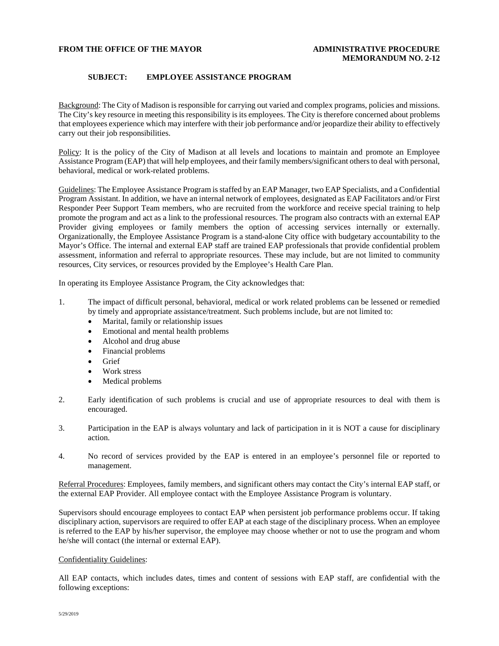## **FROM THE OFFICE OF THE MAYOR ADMINISTRATIVE PROCEDURE**

## **SUBJECT: EMPLOYEE ASSISTANCE PROGRAM**

Background: The City of Madison is responsible for carrying out varied and complex programs, policies and missions. The City's key resource in meeting this responsibility is its employees. The City is therefore concerned about problems that employees experience which may interfere with their job performance and/or jeopardize their ability to effectively carry out their job responsibilities.

Policy: It is the policy of the City of Madison at all levels and locations to maintain and promote an Employee Assistance Program (EAP) that will help employees, and their family members/significant others to deal with personal, behavioral, medical or work-related problems.

Guidelines: The Employee Assistance Program is staffed by an EAP Manager, two EAP Specialists, and a Confidential Program Assistant. In addition, we have an internal network of employees, designated as EAP Facilitators and/or First Responder Peer Support Team members, who are recruited from the workforce and receive special training to help promote the program and act as a link to the professional resources. The program also contracts with an external EAP Provider giving employees or family members the option of accessing services internally or externally. Organizationally, the Employee Assistance Program is a stand-alone City office with budgetary accountability to the Mayor's Office. The internal and external EAP staff are trained EAP professionals that provide confidential problem assessment, information and referral to appropriate resources. These may include, but are not limited to community resources, City services, or resources provided by the Employee's Health Care Plan.

In operating its Employee Assistance Program, the City acknowledges that:

- 1. The impact of difficult personal, behavioral, medical or work related problems can be lessened or remedied by timely and appropriate assistance/treatment. Such problems include, but are not limited to:
	- Marital, family or relationship issues
	- Emotional and mental health problems
	- Alcohol and drug abuse
	- Financial problems
	- Grief
	- Work stress
	- Medical problems
- 2. Early identification of such problems is crucial and use of appropriate resources to deal with them is encouraged.
- 3. Participation in the EAP is always voluntary and lack of participation in it is NOT a cause for disciplinary action.
- 4. No record of services provided by the EAP is entered in an employee's personnel file or reported to management.

Referral Procedures: Employees, family members, and significant others may contact the City's internal EAP staff, or the external EAP Provider. All employee contact with the Employee Assistance Program is voluntary.

Supervisors should encourage employees to contact EAP when persistent job performance problems occur. If taking disciplinary action, supervisors are required to offer EAP at each stage of the disciplinary process. When an employee is referred to the EAP by his/her supervisor, the employee may choose whether or not to use the program and whom he/she will contact (the internal or external EAP).

## Confidentiality Guidelines:

All EAP contacts, which includes dates, times and content of sessions with EAP staff, are confidential with the following exceptions: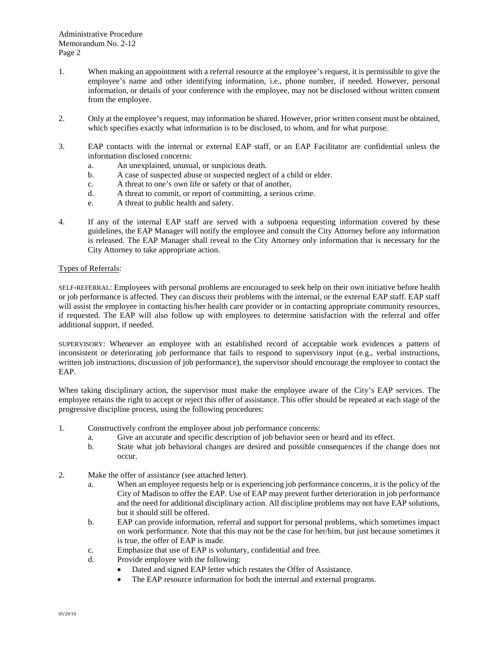Administrative Procedure Memorandum No. 2-12 Page 2

- 1. When making an appointment with a referral resource at the employee's request, it is permissible to give the employee's name and other identifying information, i.e., phone number, if needed. However, personal information, or details of your conference with the employee, may not be disclosed without written consent from the employee.
- 2. Only at the employee's request, may information be shared. However, prior written consent must be obtained, which specifies exactly what information is to be disclosed, to whom, and for what purpose.
- 3. EAP contacts with the internal or external EAP staff, or an EAP Facilitator are confidential unless the information disclosed concerns:
	- a. An unexplained, unusual, or suspicious death.
	- b. A case of suspected abuse or suspected neglect of a child or elder.
	- c. A threat to one's own life or safety or that of another,
	- d. A threat to commit, or report of committing, a serious crime.
	- e. A threat to public health and safety.
- 4. If any of the internal EAP staff are served with a subpoena requesting information covered by these guidelines, the EAP Manager will notify the employee and consult the City Attorney before any information is released. The EAP Manager shall reveal to the City Attorney only information that is necessary for the City Attorney to take appropriate action.

## Types of Referrals:

SELF-REFERRAL: Employees with personal problems are encouraged to seek help on their own initiative before health or job performance is affected. They can discuss their problems with the internal, or the external EAP staff. EAP staff will assist the employee in contacting his/her health care provider or in contacting appropriate community resources, if requested. The EAP will also follow up with employees to determine satisfaction with the referral and offer additional support, if needed.

SUPERVISORY: Whenever an employee with an established record of acceptable work evidences a pattern of inconsistent or deteriorating job performance that fails to respond to supervisory input (e.g., verbal instructions, written job instructions, discussion of job performance), the supervisor should encourage the employee to contact the EAP.

When taking disciplinary action, the supervisor must make the employee aware of the City's EAP services. The employee retains the right to accept or reject this offer of assistance. This offer should be repeated at each stage of the progressive discipline process, using the following procedures:

- 1. Constructively confront the employee about job performance concerns:
	- a. Give an accurate and specific description of job behavior seen or heard and its effect.
	- b. State what job behavioral changes are desired and possible consequences if the change does not occur.
- 2. Make the offer of assistance (see attached letter).
	- a. When an employee requests help or is experiencing job performance concerns, it is the policy of the City of Madison to offer the EAP. Use of EAP may prevent further deterioration in job performance and the need for additional disciplinary action. All discipline problems may not have EAP solutions, but it should still be offered.
	- b. EAP can provide information, referral and support for personal problems, which sometimes impact on work performance. Note that this may not be the case for her/him, but just because sometimes it is true, the offer of EAP is made.
	- c. Emphasize that use of EAP is voluntary, confidential and free.
	- d. Provide employee with the following:
		- Dated and signed EAP letter which restates the Offer of Assistance.
		- The EAP resource information for both the internal and external programs.